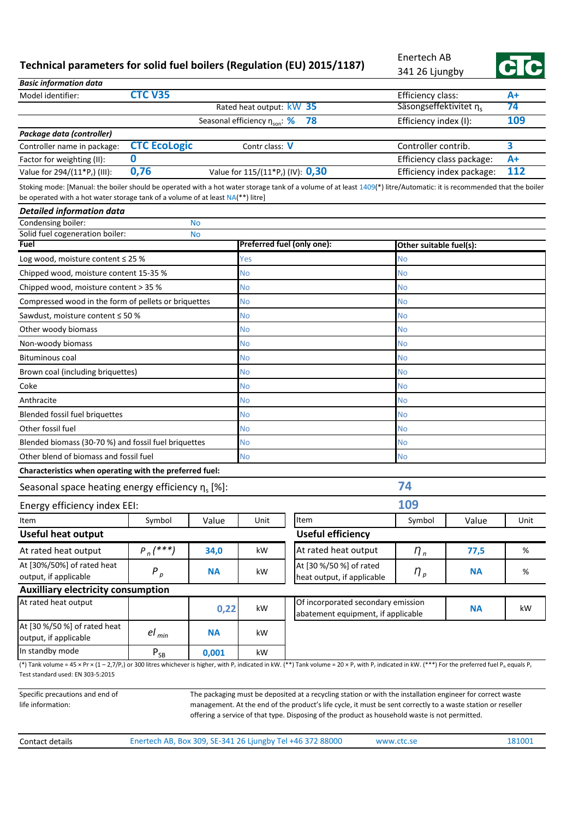## Technical parameters for solid fuel boilers (Regulation (EU) 2015/1187)

Enertech AB  $241.26$  liveshy



|                                                                                                                                                                                                                                                          |                                       |                                                   |                                                                                |                         |                                                       | 341 ZO LJUNKOV                              |                              | $\overline{\phantom{a}}$ |
|----------------------------------------------------------------------------------------------------------------------------------------------------------------------------------------------------------------------------------------------------------|---------------------------------------|---------------------------------------------------|--------------------------------------------------------------------------------|-------------------------|-------------------------------------------------------|---------------------------------------------|------------------------------|--------------------------|
| <b>Basic information data</b><br>Model identifier:                                                                                                                                                                                                       | <b>CTC V35</b>                        |                                                   |                                                                                |                         |                                                       |                                             |                              | $A+$                     |
|                                                                                                                                                                                                                                                          |                                       |                                                   | Rated heat output: kW 35                                                       |                         |                                                       | Efficiency class:<br>Säsongseffektivitet ns | 74                           |                          |
|                                                                                                                                                                                                                                                          |                                       | Seasonal efficiency $\eta_{\text{son}}$ : %<br>78 |                                                                                |                         |                                                       |                                             | 109<br>Efficiency index (I): |                          |
| Package data (controller)                                                                                                                                                                                                                                |                                       |                                                   |                                                                                |                         |                                                       |                                             |                              |                          |
| Controller name in package:                                                                                                                                                                                                                              | <b>CTC EcoLogic</b>                   |                                                   | Contr class: V                                                                 |                         |                                                       | Controller contrib.                         |                              | 3                        |
| Factor for weighting (II):                                                                                                                                                                                                                               | 0                                     |                                                   |                                                                                |                         |                                                       | $A+$<br>Efficiency class package:           |                              |                          |
| Value for 294/(11*P <sub>r</sub> ) (III):                                                                                                                                                                                                                | 0,76                                  |                                                   | Value for $115/(11^*P_r)$ (IV): 0,30                                           |                         |                                                       | Efficiency index package:                   |                              | 112                      |
| Stoking mode: [Manual: the boiler should be operated with a hot water storage tank of a volume of at least 1409(*) litre/Automatic: it is recommended that the boiler<br>be operated with a hot water storage tank of a volume of at least NA(**) litre] |                                       |                                                   |                                                                                |                         |                                                       |                                             |                              |                          |
| <b>Detailed information data</b>                                                                                                                                                                                                                         |                                       |                                                   |                                                                                |                         |                                                       |                                             |                              |                          |
| Condensing boiler:                                                                                                                                                                                                                                       |                                       | <b>No</b>                                         |                                                                                |                         |                                                       |                                             |                              |                          |
| Fuel                                                                                                                                                                                                                                                     | Solid fuel cogeneration boiler:<br>No |                                                   |                                                                                |                         |                                                       |                                             |                              |                          |
|                                                                                                                                                                                                                                                          | Preferred fuel (only one):            |                                                   |                                                                                | Other suitable fuel(s): |                                                       |                                             |                              |                          |
| Log wood, moisture content $\leq 25$ %                                                                                                                                                                                                                   |                                       |                                                   | Yes                                                                            |                         |                                                       | No                                          |                              |                          |
| Chipped wood, moisture content 15-35 %                                                                                                                                                                                                                   |                                       |                                                   | No                                                                             |                         |                                                       | No                                          |                              |                          |
| Chipped wood, moisture content > 35 %                                                                                                                                                                                                                    |                                       |                                                   | No                                                                             |                         |                                                       | No                                          |                              |                          |
| Compressed wood in the form of pellets or briquettes                                                                                                                                                                                                     | No                                    |                                                   |                                                                                | No                      |                                                       |                                             |                              |                          |
| Sawdust, moisture content ≤ 50 %                                                                                                                                                                                                                         |                                       |                                                   | No                                                                             |                         |                                                       | No                                          |                              |                          |
| Other woody biomass                                                                                                                                                                                                                                      |                                       |                                                   | No                                                                             |                         |                                                       | No                                          |                              |                          |
| Non-woody biomass                                                                                                                                                                                                                                        |                                       | No                                                |                                                                                |                         | No                                                    |                                             |                              |                          |
| <b>Bituminous coal</b>                                                                                                                                                                                                                                   | No                                    |                                                   |                                                                                | No                      |                                                       |                                             |                              |                          |
| Brown coal (including briquettes)                                                                                                                                                                                                                        | No                                    |                                                   |                                                                                | No                      |                                                       |                                             |                              |                          |
| Coke                                                                                                                                                                                                                                                     | No                                    |                                                   |                                                                                | No                      |                                                       |                                             |                              |                          |
| Anthracite                                                                                                                                                                                                                                               | No                                    |                                                   |                                                                                | No                      |                                                       |                                             |                              |                          |
| Blended fossil fuel briquettes                                                                                                                                                                                                                           | No                                    |                                                   |                                                                                | No                      |                                                       |                                             |                              |                          |
| Other fossil fuel                                                                                                                                                                                                                                        | No                                    |                                                   |                                                                                | No                      |                                                       |                                             |                              |                          |
| Blended biomass (30-70 %) and fossil fuel briquettes                                                                                                                                                                                                     | No                                    |                                                   |                                                                                | No                      |                                                       |                                             |                              |                          |
| Other blend of biomass and fossil fuel                                                                                                                                                                                                                   | <b>No</b>                             |                                                   |                                                                                | No                      |                                                       |                                             |                              |                          |
| Characteristics when operating with the preferred fuel:                                                                                                                                                                                                  |                                       |                                                   |                                                                                |                         |                                                       |                                             |                              |                          |
| Seasonal space heating energy efficiency $\eta_{s}$ [%]:                                                                                                                                                                                                 |                                       |                                                   |                                                                                | 74                      |                                                       |                                             |                              |                          |
| Energy efficiency index EEI:                                                                                                                                                                                                                             |                                       |                                                   |                                                                                | 109                     |                                                       |                                             |                              |                          |
| Item                                                                                                                                                                                                                                                     | Symbol                                | Value                                             | Unit                                                                           | Item                    |                                                       | Symbol                                      | Value                        | Unit                     |
| <b>Useful heat output</b>                                                                                                                                                                                                                                |                                       |                                                   |                                                                                |                         | <b>Useful efficiency</b>                              |                                             |                              |                          |
| At rated heat output                                                                                                                                                                                                                                     | $P_n(^{***})$                         | 34,0                                              | kW                                                                             |                         | At rated heat output                                  | $n_{n}$                                     | 77,5                         | $\%$                     |
| At [30%/50%] of rated heat<br>output, if applicable                                                                                                                                                                                                      | $P_p$                                 | <b>NA</b>                                         | kW                                                                             |                         | At [30 %/50 %] of rated<br>heat output, if applicable | $n_{p}$                                     | <b>NA</b>                    | %                        |
| <b>Auxilliary electricity consumption</b>                                                                                                                                                                                                                |                                       |                                                   |                                                                                |                         |                                                       |                                             |                              |                          |
| At rated heat output                                                                                                                                                                                                                                     |                                       | 0,22                                              | Of incorporated secondary emission<br>kW<br>abatement equipment, if applicable |                         |                                                       | <b>NA</b>                                   | kW                           |                          |
| At [30 %/50 %] of rated heat<br>output, if applicable                                                                                                                                                                                                    | $el_{min}$                            | <b>NA</b>                                         | kW                                                                             |                         |                                                       |                                             |                              |                          |
| In standby mode                                                                                                                                                                                                                                          | $P_{\underline{SB}}$                  | 0,001                                             | kW                                                                             |                         |                                                       |                                             |                              |                          |
|                                                                                                                                                                                                                                                          |                                       |                                                   |                                                                                |                         |                                                       |                                             |                              |                          |

(\*) Tank volume = 45 x Pr x (1 - 2,7/P<sub>r</sub>) or 300 litres whichever is higher, with P<sub>r</sub> indicated in kW. (\*\*) Tank volume = 20 x P<sub>r</sub> with P<sub>r</sub> indicated in kW. (\*\*\*) For the preferred fuel P<sub>n</sub> equals P<sub>r</sub> Test standard used: EN 303-5:2015

Specific precautions and end of life information:

The packaging must be deposited at a recycling station or with the installation engineer for correct waste management. At the end of the product's life cycle, it must be sent correctly to a waste station or reseller offering a service of that type. Disposing of the product as household waste is not permitted.

Contact details

Enertech AB, Box 309, SE-341 26 Ljungby Tel +46 372 88000

www.ctc.se